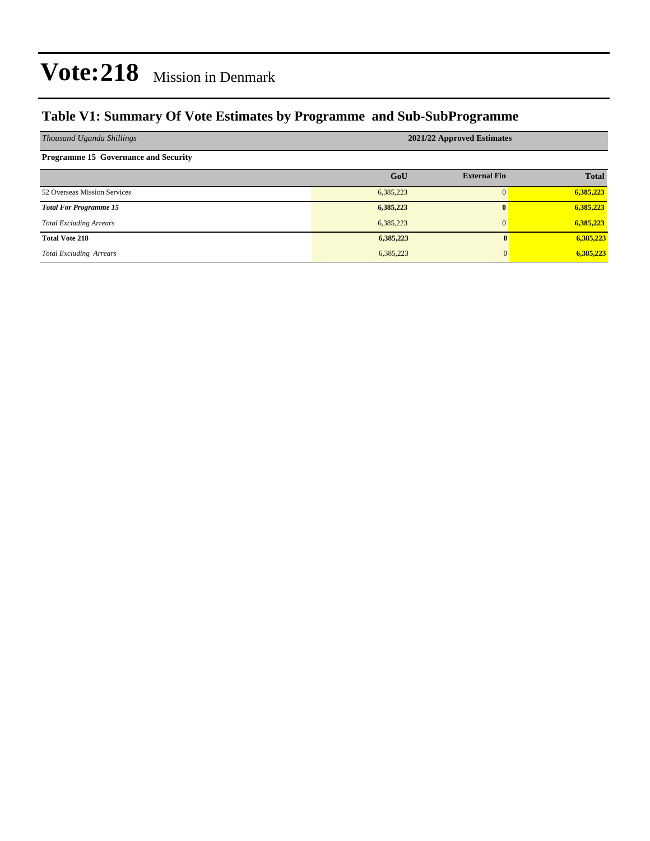### **Table V1: Summary Of Vote Estimates by Programme and Sub-SubProgramme**

| Thousand Uganda Shillings                   | 2021/22 Approved Estimates |                     |              |  |  |
|---------------------------------------------|----------------------------|---------------------|--------------|--|--|
| <b>Programme 15 Governance and Security</b> |                            |                     |              |  |  |
|                                             | GoU                        | <b>External Fin</b> | <b>Total</b> |  |  |
| 52 Overseas Mission Services                | 6,385,223                  | $\Omega$            | 6,385,223    |  |  |
| <b>Total For Programme 15</b>               | 6,385,223                  | $\mathbf{0}$        | 6,385,223    |  |  |
| <b>Total Excluding Arrears</b>              | 6,385,223                  | $\mathbf{0}$        | 6,385,223    |  |  |
| <b>Total Vote 218</b>                       | 6,385,223                  | $\mathbf{0}$        | 6,385,223    |  |  |
| <b>Total Excluding Arrears</b>              | 6,385,223                  | 0                   | 6,385,223    |  |  |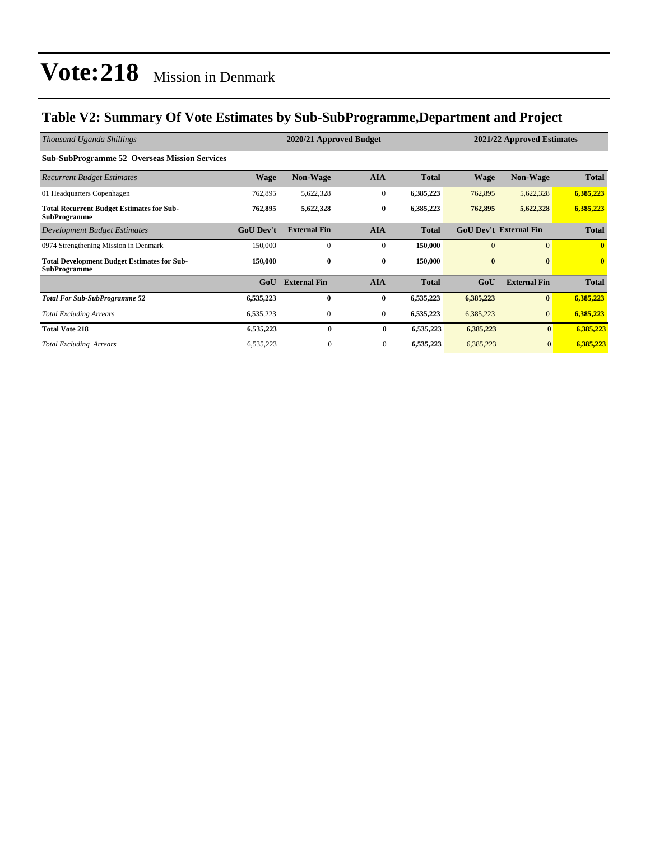### **Table V2: Summary Of Vote Estimates by Sub-SubProgramme,Department and Project**

| Thousand Uganda Shillings                                                 | 2020/21 Approved Budget |                     |                  |              |             | 2021/22 Approved Estimates    |              |  |
|---------------------------------------------------------------------------|-------------------------|---------------------|------------------|--------------|-------------|-------------------------------|--------------|--|
| <b>Sub-SubProgramme 52 Overseas Mission Services</b>                      |                         |                     |                  |              |             |                               |              |  |
| <b>Recurrent Budget Estimates</b>                                         | Wage                    | <b>Non-Wage</b>     | <b>AIA</b>       | <b>Total</b> | <b>Wage</b> | <b>Non-Wage</b>               | <b>Total</b> |  |
| 01 Headquarters Copenhagen                                                | 762,895                 | 5,622,328           | $\boldsymbol{0}$ | 6,385,223    | 762,895     | 5,622,328                     | 6,385,223    |  |
| <b>Total Recurrent Budget Estimates for Sub-</b><br><b>SubProgramme</b>   | 762,895                 | 5,622,328           | $\bf{0}$         | 6,385,223    | 762,895     | 5,622,328                     | 6,385,223    |  |
| Development Budget Estimates                                              | <b>GoU</b> Dev't        | <b>External Fin</b> | <b>AIA</b>       | <b>Total</b> |             | <b>GoU Dev't External Fin</b> | <b>Total</b> |  |
| 0974 Strengthening Mission in Denmark                                     | 150,000                 | $\mathbf{0}$        | $\mathbf{0}$     | 150,000      | $\Omega$    | $\Omega$                      | $\mathbf{0}$ |  |
| <b>Total Development Budget Estimates for Sub-</b><br><b>SubProgramme</b> | 150,000                 | $\bf{0}$            | $\bf{0}$         | 150,000      | $\bf{0}$    | $\mathbf{0}$                  | $\mathbf{0}$ |  |
|                                                                           | GoU                     | <b>External Fin</b> | <b>AIA</b>       | <b>Total</b> | GoU         | <b>External Fin</b>           | <b>Total</b> |  |
| <b>Total For Sub-SubProgramme 52</b>                                      | 6,535,223               | $\mathbf{0}$        | $\bf{0}$         | 6,535,223    | 6,385,223   | $\bf{0}$                      | 6,385,223    |  |
| <b>Total Excluding Arrears</b>                                            | 6,535,223               | $\mathbf{0}$        | $\mathbf{0}$     | 6,535,223    | 6,385,223   | $\mathbf{0}$                  | 6,385,223    |  |
| <b>Total Vote 218</b>                                                     | 6,535,223               | 0                   | $\bf{0}$         | 6,535,223    | 6,385,223   | $\bf{0}$                      | 6,385,223    |  |
| <b>Total Excluding Arrears</b>                                            | 6,535,223               | $\boldsymbol{0}$    | 0                | 6,535,223    | 6,385,223   | $\mathbf{0}$                  | 6,385,223    |  |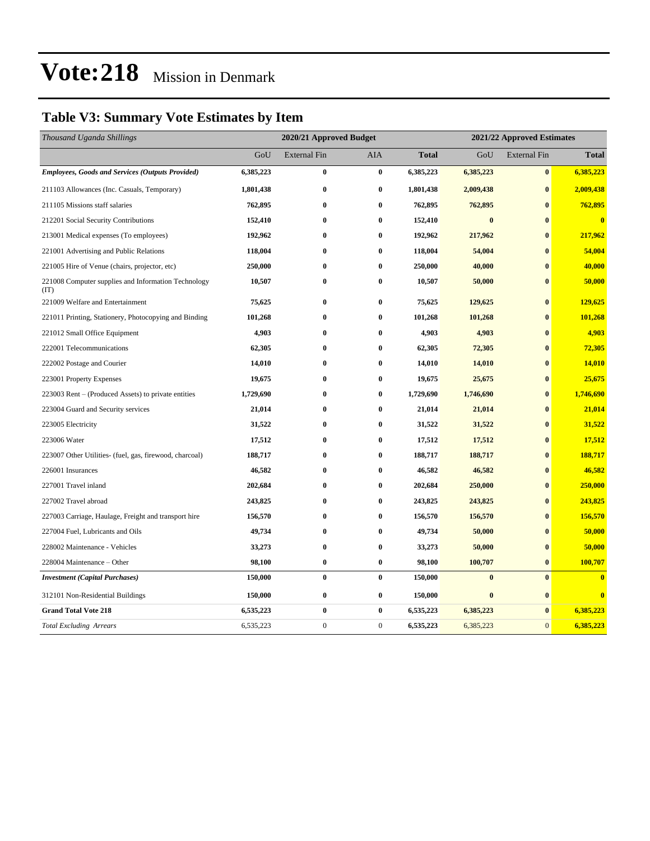### **Table V3: Summary Vote Estimates by Item**

| Thousand Uganda Shillings                                   | 2020/21 Approved Budget |                     |                  |              | 2021/22 Approved Estimates |                     |                         |  |
|-------------------------------------------------------------|-------------------------|---------------------|------------------|--------------|----------------------------|---------------------|-------------------------|--|
|                                                             | GoU                     | <b>External Fin</b> | AIA              | <b>Total</b> | GoU                        | <b>External Fin</b> | <b>Total</b>            |  |
| <b>Employees, Goods and Services (Outputs Provided)</b>     | 6,385,223               | $\bf{0}$            | $\bf{0}$         | 6,385,223    | 6,385,223                  | $\bf{0}$            | 6,385,223               |  |
| 211103 Allowances (Inc. Casuals, Temporary)                 | 1,801,438               | $\bf{0}$            | $\bf{0}$         | 1,801,438    | 2,009,438                  | $\bf{0}$            | 2,009,438               |  |
| 211105 Missions staff salaries                              | 762,895                 | $\bf{0}$            | $\bf{0}$         | 762,895      | 762,895                    | $\bf{0}$            | 762,895                 |  |
| 212201 Social Security Contributions                        | 152,410                 | $\bf{0}$            | $\bf{0}$         | 152,410      | $\bf{0}$                   | $\bf{0}$            | $\bf{0}$                |  |
| 213001 Medical expenses (To employees)                      | 192,962                 | $\bf{0}$            | $\bf{0}$         | 192,962      | 217,962                    | $\bf{0}$            | 217,962                 |  |
| 221001 Advertising and Public Relations                     | 118,004                 | $\bf{0}$            | $\bf{0}$         | 118,004      | 54,004                     | $\bf{0}$            | 54,004                  |  |
| 221005 Hire of Venue (chairs, projector, etc)               | 250,000                 | $\bf{0}$            | $\bf{0}$         | 250,000      | 40,000                     | $\mathbf{0}$        | 40,000                  |  |
| 221008 Computer supplies and Information Technology<br>(TT) | 10,507                  | $\bf{0}$            | $\bf{0}$         | 10,507       | 50,000                     | $\bf{0}$            | 50,000                  |  |
| 221009 Welfare and Entertainment                            | 75,625                  | $\bf{0}$            | $\bf{0}$         | 75,625       | 129,625                    | $\bf{0}$            | 129,625                 |  |
| 221011 Printing, Stationery, Photocopying and Binding       | 101,268                 | $\bf{0}$            | $\bf{0}$         | 101,268      | 101,268                    | $\bf{0}$            | 101,268                 |  |
| 221012 Small Office Equipment                               | 4,903                   | $\bf{0}$            | $\bf{0}$         | 4,903        | 4,903                      | $\bf{0}$            | 4,903                   |  |
| 222001 Telecommunications                                   | 62,305                  | $\bf{0}$            | $\bf{0}$         | 62,305       | 72,305                     | $\bf{0}$            | 72,305                  |  |
| 222002 Postage and Courier                                  | 14,010                  | $\bf{0}$            | $\bf{0}$         | 14,010       | 14,010                     | $\bf{0}$            | 14,010                  |  |
| 223001 Property Expenses                                    | 19,675                  | $\bf{0}$            | $\bf{0}$         | 19,675       | 25,675                     | $\bf{0}$            | 25,675                  |  |
| 223003 Rent – (Produced Assets) to private entities         | 1,729,690               | $\bf{0}$            | $\bf{0}$         | 1,729,690    | 1,746,690                  | $\bf{0}$            | 1,746,690               |  |
| 223004 Guard and Security services                          | 21,014                  | $\bf{0}$            | $\bf{0}$         | 21,014       | 21,014                     | $\bf{0}$            | 21,014                  |  |
| 223005 Electricity                                          | 31,522                  | $\bf{0}$            | $\bf{0}$         | 31,522       | 31,522                     | $\bf{0}$            | 31,522                  |  |
| 223006 Water                                                | 17,512                  | $\bf{0}$            | $\bf{0}$         | 17,512       | 17,512                     | $\bf{0}$            | 17,512                  |  |
| 223007 Other Utilities- (fuel, gas, firewood, charcoal)     | 188,717                 | $\bf{0}$            | $\bf{0}$         | 188,717      | 188,717                    | $\bf{0}$            | 188,717                 |  |
| 226001 Insurances                                           | 46,582                  | $\bf{0}$            | $\bf{0}$         | 46,582       | 46,582                     | $\bf{0}$            | 46,582                  |  |
| 227001 Travel inland                                        | 202,684                 | $\bf{0}$            | $\bf{0}$         | 202,684      | 250,000                    | $\bf{0}$            | 250,000                 |  |
| 227002 Travel abroad                                        | 243,825                 | $\bf{0}$            | $\bf{0}$         | 243,825      | 243,825                    | $\bf{0}$            | 243,825                 |  |
| 227003 Carriage, Haulage, Freight and transport hire        | 156,570                 | $\bf{0}$            | $\bf{0}$         | 156,570      | 156,570                    | $\bf{0}$            | 156,570                 |  |
| 227004 Fuel, Lubricants and Oils                            | 49,734                  | $\bf{0}$            | $\bf{0}$         | 49,734       | 50,000                     | $\bf{0}$            | 50,000                  |  |
| 228002 Maintenance - Vehicles                               | 33,273                  | $\bf{0}$            | $\bf{0}$         | 33,273       | 50,000                     | $\bf{0}$            | 50,000                  |  |
| 228004 Maintenance – Other                                  | 98,100                  | $\bf{0}$            | $\bf{0}$         | 98,100       | 100,707                    | $\bf{0}$            | 100,707                 |  |
| <b>Investment</b> (Capital Purchases)                       | 150,000                 | $\bf{0}$            | $\bf{0}$         | 150,000      | $\bf{0}$                   | $\bf{0}$            | $\overline{\mathbf{0}}$ |  |
| 312101 Non-Residential Buildings                            | 150,000                 | $\bf{0}$            | $\bf{0}$         | 150,000      | $\boldsymbol{0}$           | $\bf{0}$            | $\bf{0}$                |  |
| <b>Grand Total Vote 218</b>                                 | 6,535,223               | $\bf{0}$            | $\bf{0}$         | 6,535,223    | 6,385,223                  | $\bf{0}$            | 6,385,223               |  |
| <b>Total Excluding Arrears</b>                              | 6,535,223               | $\boldsymbol{0}$    | $\boldsymbol{0}$ | 6,535,223    | 6,385,223                  | $\mathbf{0}$        | 6,385,223               |  |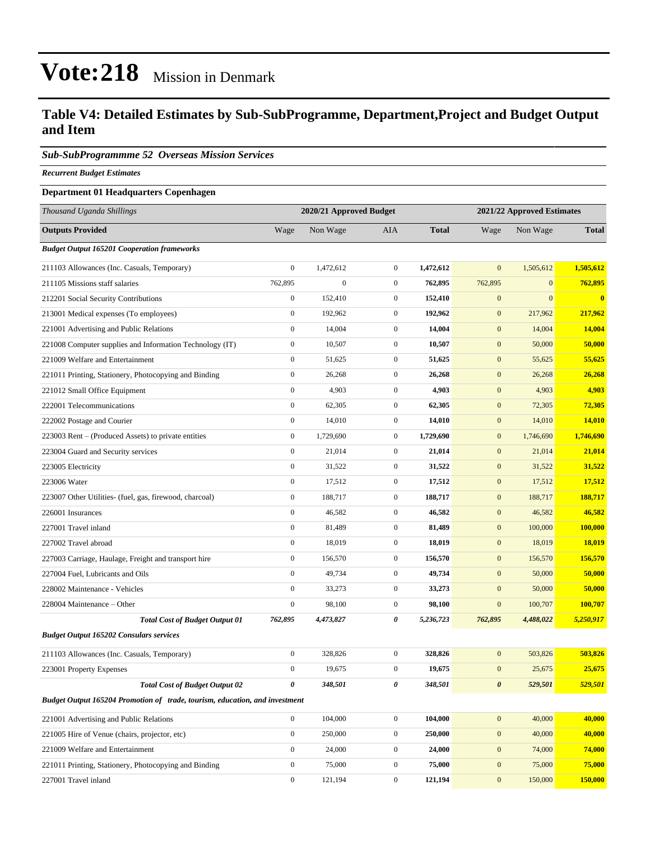#### **Table V4: Detailed Estimates by Sub-SubProgramme, Department,Project and Budget Output and Item**

#### *Sub-SubProgrammme 52 Overseas Mission Services*

*Recurrent Budget Estimates*

#### **Department 01 Headquarters Copenhagen**

| Thousand Uganda Shillings                                                   |                       | 2020/21 Approved Budget |                  | 2021/22 Approved Estimates |                  |              |               |
|-----------------------------------------------------------------------------|-----------------------|-------------------------|------------------|----------------------------|------------------|--------------|---------------|
| <b>Outputs Provided</b>                                                     | Wage                  | Non Wage                | AIA              | <b>Total</b>               | Wage             | Non Wage     | <b>Total</b>  |
| <b>Budget Output 165201 Cooperation frameworks</b>                          |                       |                         |                  |                            |                  |              |               |
| 211103 Allowances (Inc. Casuals, Temporary)                                 | $\boldsymbol{0}$      | 1,472,612               | $\overline{0}$   | 1,472,612                  | $\mathbf{0}$     | 1,505,612    | 1,505,612     |
| 211105 Missions staff salaries                                              | 762,895               | $\boldsymbol{0}$        | $\mathbf{0}$     | 762,895                    | 762,895          | $\mathbf{0}$ | 762,895       |
| 212201 Social Security Contributions                                        | $\boldsymbol{0}$      | 152,410                 | $\mathbf{0}$     | 152,410                    | $\mathbf{0}$     | $\mathbf{0}$ | $\bf{0}$      |
| 213001 Medical expenses (To employees)                                      | $\boldsymbol{0}$      | 192,962                 | $\mathbf{0}$     | 192,962                    | $\mathbf{0}$     | 217,962      | 217,962       |
| 221001 Advertising and Public Relations                                     | $\boldsymbol{0}$      | 14,004                  | $\boldsymbol{0}$ | 14,004                     | $\mathbf{0}$     | 14,004       | 14,004        |
| 221008 Computer supplies and Information Technology (IT)                    | $\boldsymbol{0}$      | 10,507                  | $\overline{0}$   | 10,507                     | $\mathbf{0}$     | 50,000       | 50,000        |
| 221009 Welfare and Entertainment                                            | $\boldsymbol{0}$      | 51,625                  | $\overline{0}$   | 51,625                     | $\mathbf{0}$     | 55,625       | 55,625        |
| 221011 Printing, Stationery, Photocopying and Binding                       | $\boldsymbol{0}$      | 26,268                  | $\mathbf{0}$     | 26,268                     | $\mathbf{0}$     | 26,268       | 26,268        |
| 221012 Small Office Equipment                                               | $\boldsymbol{0}$      | 4,903                   | $\boldsymbol{0}$ | 4,903                      | $\mathbf{0}$     | 4,903        | 4,903         |
| 222001 Telecommunications                                                   | $\boldsymbol{0}$      | 62,305                  | $\mathbf{0}$     | 62,305                     | $\mathbf{0}$     | 72,305       | 72,305        |
| 222002 Postage and Courier                                                  | $\boldsymbol{0}$      | 14,010                  | $\boldsymbol{0}$ | 14,010                     | $\mathbf{0}$     | 14,010       | 14,010        |
| 223003 Rent – (Produced Assets) to private entities                         | $\boldsymbol{0}$      | 1,729,690               | $\mathbf{0}$     | 1,729,690                  | $\mathbf{0}$     | 1,746,690    | 1,746,690     |
| 223004 Guard and Security services                                          | $\boldsymbol{0}$      | 21,014                  | $\mathbf{0}$     | 21,014                     | $\mathbf{0}$     | 21,014       | 21,014        |
| 223005 Electricity                                                          | $\boldsymbol{0}$      | 31,522                  | $\boldsymbol{0}$ | 31,522                     | $\mathbf{0}$     | 31,522       | 31,522        |
| 223006 Water                                                                | $\boldsymbol{0}$      | 17,512                  | $\boldsymbol{0}$ | 17,512                     | $\mathbf{0}$     | 17,512       | 17,512        |
| 223007 Other Utilities- (fuel, gas, firewood, charcoal)                     | $\boldsymbol{0}$      | 188,717                 | $\overline{0}$   | 188,717                    | $\mathbf{0}$     | 188,717      | 188,717       |
| 226001 Insurances                                                           | $\mathbf{0}$          | 46,582                  | $\mathbf{0}$     | 46,582                     | $\mathbf{0}$     | 46,582       | 46,582        |
| 227001 Travel inland                                                        | $\boldsymbol{0}$      | 81,489                  | $\mathbf{0}$     | 81,489                     | $\mathbf{0}$     | 100,000      | 100,000       |
| 227002 Travel abroad                                                        | $\boldsymbol{0}$      | 18,019                  | $\boldsymbol{0}$ | 18,019                     | $\mathbf{0}$     | 18,019       | <b>18,019</b> |
| 227003 Carriage, Haulage, Freight and transport hire                        | $\boldsymbol{0}$      | 156,570                 | $\mathbf{0}$     | 156,570                    | $\mathbf{0}$     | 156,570      | 156,570       |
| 227004 Fuel, Lubricants and Oils                                            | $\boldsymbol{0}$      | 49,734                  | $\overline{0}$   | 49,734                     | $\mathbf{0}$     | 50,000       | 50,000        |
| 228002 Maintenance - Vehicles                                               | $\mathbf{0}$          | 33,273                  | $\boldsymbol{0}$ | 33,273                     | $\mathbf{0}$     | 50,000       | 50,000        |
| 228004 Maintenance – Other                                                  | $\boldsymbol{0}$      | 98,100                  | $\mathbf{0}$     | 98,100                     | $\mathbf{0}$     | 100,707      | 100,707       |
| <b>Total Cost of Budget Output 01</b>                                       | 762,895               | 4,473,827               | 0                | 5,236,723                  | 762,895          | 4,488,022    | 5,250,917     |
| <b>Budget Output 165202 Consulars services</b>                              |                       |                         |                  |                            |                  |              |               |
| 211103 Allowances (Inc. Casuals, Temporary)                                 | $\boldsymbol{0}$      | 328,826                 | $\mathbf{0}$     | 328,826                    | $\mathbf{0}$     | 503,826      | 503,826       |
| 223001 Property Expenses                                                    | $\boldsymbol{0}$      | 19,675                  | $\mathbf{0}$     | 19,675                     | $\boldsymbol{0}$ | 25,675       | 25,675        |
| <b>Total Cost of Budget Output 02</b>                                       | $\boldsymbol{\theta}$ | 348,501                 | 0                | 348,501                    | $\pmb{\theta}$   | 529,501      | 529,501       |
| Budget Output 165204 Promotion of trade, tourism, education, and investment |                       |                         |                  |                            |                  |              |               |
| 221001 Advertising and Public Relations                                     | $\boldsymbol{0}$      | 104,000                 | $\boldsymbol{0}$ | 104,000                    | $\mathbf{0}$     | 40,000       | 40,000        |
| 221005 Hire of Venue (chairs, projector, etc)                               | $\boldsymbol{0}$      | 250,000                 | $\boldsymbol{0}$ | 250,000                    | $\mathbf{0}$     | 40,000       | 40,000        |
| 221009 Welfare and Entertainment                                            | $\boldsymbol{0}$      | 24,000                  | $\boldsymbol{0}$ | 24,000                     | $\boldsymbol{0}$ | 74,000       | 74,000        |
| 221011 Printing, Stationery, Photocopying and Binding                       | $\boldsymbol{0}$      | 75,000                  | $\boldsymbol{0}$ | 75,000                     | $\mathbf{0}$     | 75,000       | 75,000        |
| 227001 Travel inland                                                        | $\boldsymbol{0}$      | 121,194                 | $\boldsymbol{0}$ | 121,194                    | $\boldsymbol{0}$ | 150,000      | 150,000       |